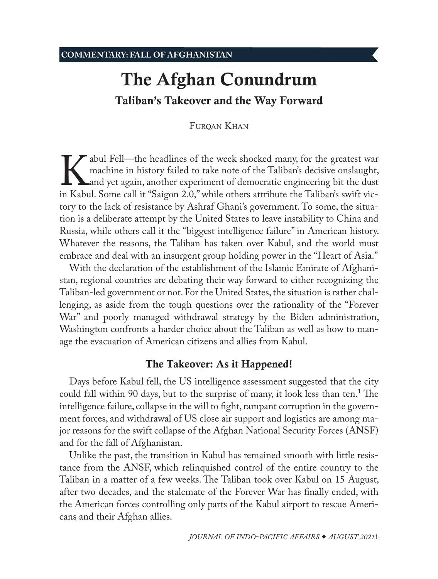# <span id="page-0-0"></span>The Afghan Conundrum Taliban's Takeover and the Way Forward

FUROAN KHAN

Abul Fell—the headlines of the week shocked many, for the greatest war machine in history failed to take note of the Taliban's decisive onslaught, and yet again, another experiment of democratic engineering bit the dust in machine in history failed to take note of the Taliban's decisive onslaught, and yet again, another experiment of democratic engineering bit the dust in Kabul. Some call it "Saigon 2.0," while others attribute the Taliban's swift victory to the lack of resistance by Ashraf Ghani's government. To some, the situation is a deliberate attempt by the United States to leave instability to China and Russia, while others call it the "biggest intelligence failure" in American history. Whatever the reasons, the Taliban has taken over Kabul, and the world must embrace and deal with an insurgent group holding power in the "Heart of Asia."

With the declaration of the establishment of the Islamic Emirate of Afghanistan, regional countries are debating their way forward to either recognizing the Taliban-led government or not. For the United States, the situation is rather challenging, as aside from the tough questions over the rationality of the "Forever War" and poorly managed withdrawal strategy by the Biden administration, Washington confronts a harder choice about the Taliban as well as how to manage the evacuation of American citizens and allies from Kabul.

## The Takeover: As it Happened!

Days before Kabul fell, the US intelligence assessment suggested that the city could fall within 90 days, but to the surprise of many, it look less than ten.<sup>[1](#page-5-0)</sup> The intelligence failure, collapse in the will to fight, rampant corruption in the government forces, and withdrawal of US close air support and logistics are among major reasons for the swift collapse of the Afghan National Security Forces (ANSF) and for the fall of Afghanistan.

Unlike the past, the transition in Kabul has remained smooth with little resistance from the ANSF, which relinquished control of the entire country to the Taliban in a matter of a few weeks. The Taliban took over Kabul on 15 August, after two decades, and the stalemate of the Forever War has finally ended, with the American forces controlling only parts of the Kabul airport to rescue Americans and their Afghan allies.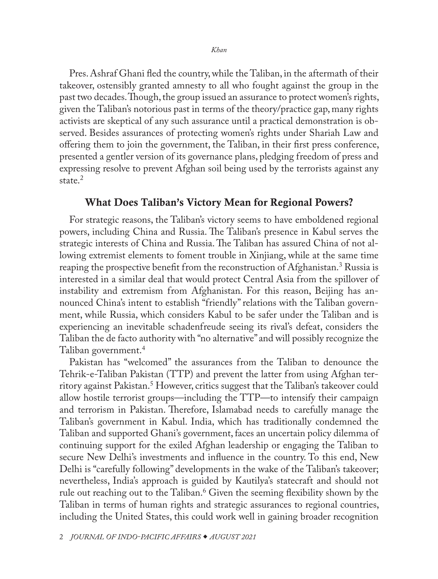<span id="page-1-0"></span>Pres. Ashraf Ghani fled the country, while the Taliban, in the aftermath of their takeover, ostensibly granted amnesty to all who fought against the group in the past two decades. Though, the group issued an assurance to protect women's rights, given the Taliban's notorious past in terms of the theory/practice gap, many rights activists are skeptical of any such assurance until a practical demonstration is observed. Besides assurances of protecting women's rights under Shariah Law and offering them to join the government, the Taliban, in their first press conference, presented a gentler version of its governance plans, pledging freedom of press and expressing resolve to prevent Afghan soil being used by the terrorists against any state<sup>[2](#page-5-0)</sup>

## What Does Taliban's Victory Mean for Regional Powers?

For strategic reasons, the Taliban's victory seems to have emboldened regional powers, including China and Russia. The Taliban's presence in Kabul serves the strategic interests of China and Russia. The Taliban has assured China of not allowing extremist elements to foment trouble in Xinjiang, while at the same time reaping the prospective benefit from the reconstruction of Afghanistan.<sup>[3](#page-5-0)</sup> Russia is interested in a similar deal that would protect Central Asia from the spillover of instability and extremism from Afghanistan. For this reason, Beijing has announced China's intent to establish "friendly" relations with the Taliban government, while Russia, which considers Kabul to be safer under the Taliban and is experiencing an inevitable schadenfreude seeing its rival's defeat, considers the Taliban the de facto authority with "no alternative" and will possibly recognize the Taliban government[.4](#page-5-0)

Pakistan has "welcomed" the assurances from the Taliban to denounce the Tehrik-e-Taliban Pakistan (TTP) and prevent the latter from using Afghan territory against Pakistan.[5](#page-5-0) However, critics suggest that the Taliban's takeover could allow hostile terrorist groups—including the TTP—to intensify their campaign and terrorism in Pakistan. Therefore, Islamabad needs to carefully manage the Taliban's government in Kabul. India, which has traditionally condemned the Taliban and supported Ghani's government, faces an uncertain policy dilemma of continuing support for the exiled Afghan leadership or engaging the Taliban to secure New Delhi's investments and influence in the country. To this end, New Delhi is "carefully following" developments in the wake of the Taliban's takeover; nevertheless, India's approach is guided by Kautilya's statecraft and should not rule out reaching out to the Taliban.[6](#page-5-0) Given the seeming flexibility shown by the Taliban in terms of human rights and strategic assurances to regional countries, including the United States, this could work well in gaining broader recognition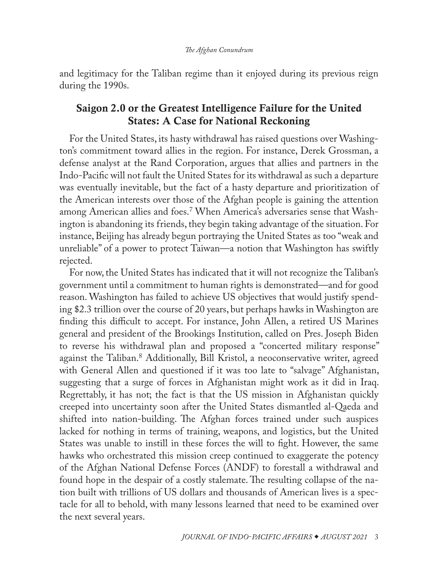<span id="page-2-0"></span>and legitimacy for the Taliban regime than it enjoyed during its previous reign during the 1990s.

## Saigon 2.0 or the Greatest Intelligence Failure for the United States: A Case for National Reckoning

For the United States, its hasty withdrawal has raised questions over Washington's commitment toward allies in the region. For instance, Derek Grossman, a defense analyst at the Rand Corporation, argues that allies and partners in the Indo-Pacific will not fault the United States for its withdrawal as such a departure was eventually inevitable, but the fact of a hasty departure and prioritization of the American interests over those of the Afghan people is gaining the attention among American allies and foes.[7](#page-5-0) When America's adversaries sense that Washington is abandoning its friends, they begin taking advantage of the situation. For instance, Beijing has already begun portraying the United States as too "weak and unreliable" of a power to protect Taiwan—a notion that Washington has swiftly rejected.

For now, the United States has indicated that it will not recognize the Taliban's government until a commitment to human rights is demonstrated—and for good reason. Washington has failed to achieve US objectives that would justify spending \$2.3 trillion over the course of 20 years, but perhaps hawks in Washington are finding this difficult to accept. For instance, John Allen, a retired US Marines general and president of the Brookings Institution, called on Pres. Joseph Biden to reverse his withdrawal plan and proposed a "concerted military response" against the Taliban.[8](#page-5-0) Additionally, Bill Kristol, a neoconservative writer, agreed with General Allen and questioned if it was too late to "salvage" Afghanistan, suggesting that a surge of forces in Afghanistan might work as it did in Iraq. Regrettably, it has not; the fact is that the US mission in Afghanistan quickly creeped into uncertainty soon after the United States dismantled al-Qaeda and shifted into nation-building. The Afghan forces trained under such auspices lacked for nothing in terms of training, weapons, and logistics, but the United States was unable to instill in these forces the will to fight. However, the same hawks who orchestrated this mission creep continued to exaggerate the potency of the Afghan National Defense Forces (ANDF) to forestall a withdrawal and found hope in the despair of a costly stalemate. The resulting collapse of the nation built with trillions of US dollars and thousands of American lives is a spectacle for all to behold, with many lessons learned that need to be examined over the next several years.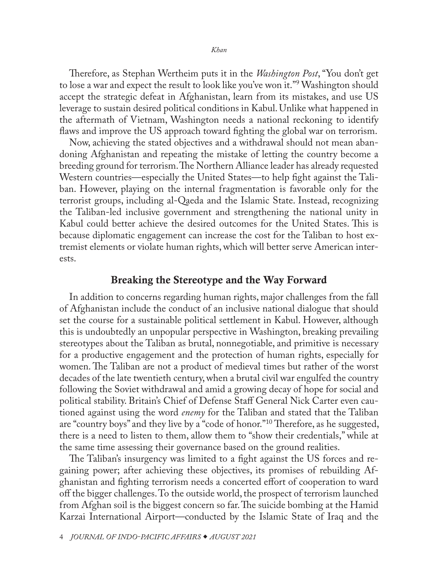<span id="page-3-0"></span>Therefore, as Stephan Wertheim puts it in the *Washington Post*, "You don't get to lose a war and expect the result to look like you've won it."[9](#page-5-0) Washington should accept the strategic defeat in Afghanistan, learn from its mistakes, and use US leverage to sustain desired political conditions in Kabul. Unlike what happened in the aftermath of Vietnam, Washington needs a national reckoning to identify flaws and improve the US approach toward fighting the global war on terrorism.

Now, achieving the stated objectives and a withdrawal should not mean abandoning Afghanistan and repeating the mistake of letting the country become a breeding ground for terrorism. The Northern Alliance leader has already requested Western countries—especially the United States—to help fight against the Taliban. However, playing on the internal fragmentation is favorable only for the terrorist groups, including al-Qaeda and the Islamic State. Instead, recognizing the Taliban-led inclusive government and strengthening the national unity in Kabul could better achieve the desired outcomes for the United States. This is because diplomatic engagement can increase the cost for the Taliban to host extremist elements or violate human rights, which will better serve American interests.

### Breaking the Stereotype and the Way Forward

In addition to concerns regarding human rights, major challenges from the fall of Afghanistan include the conduct of an inclusive national dialogue that should set the course for a sustainable political settlement in Kabul. However, although this is undoubtedly an unpopular perspective in Washington, breaking prevailing stereotypes about the Taliban as brutal, nonnegotiable, and primitive is necessary for a productive engagement and the protection of human rights, especially for women. The Taliban are not a product of medieval times but rather of the worst decades of the late twentieth century, when a brutal civil war engulfed the country following the Soviet withdrawal and amid a growing decay of hope for social and political stability. Britain's Chief of Defense Staff General Nick Carter even cautioned against using the word *enemy* for the Taliban and stated that the Taliban are "country boys" and they live by a "code of honor."[10](#page-5-0) Therefore, as he suggested, there is a need to listen to them, allow them to "show their credentials," while at the same time assessing their governance based on the ground realities.

The Taliban's insurgency was limited to a fight against the US forces and regaining power; after achieving these objectives, its promises of rebuilding Afghanistan and fighting terrorism needs a concerted effort of cooperation to ward off the bigger challenges. To the outside world, the prospect of terrorism launched from Afghan soil is the biggest concern so far. The suicide bombing at the Hamid Karzai International Airport—conducted by the Islamic State of Iraq and the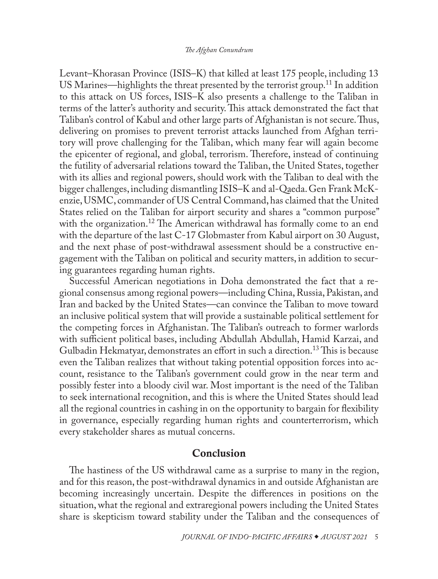<span id="page-4-0"></span>Levant–Khorasan Province (ISIS–K) that killed at least 175 people, including 13 US Marines—highlights the threat presented by the terrorist group.<sup>11</sup> In addition to this attack on US forces, ISIS–K also presents a challenge to the Taliban in terms of the latter's authority and security. This attack demonstrated the fact that Taliban's control of Kabul and other large parts of Afghanistan is not secure. Thus, delivering on promises to prevent terrorist attacks launched from Afghan territory will prove challenging for the Taliban, which many fear will again become the epicenter of regional, and global, terrorism. Therefore, instead of continuing the futility of adversarial relations toward the Taliban, the United States, together with its allies and regional powers, should work with the Taliban to deal with the bigger challenges, including dismantling ISIS–K and al-Qaeda. Gen Frank McKenzie, USMC, commander of US Central Command, has claimed that the United States relied on the Taliban for airport security and shares a "common purpose" with the organization.<sup>12</sup> The American withdrawal has formally come to an end with the departure of the last C-17 Globmaster from Kabul airport on 30 August, and the next phase of post-withdrawal assessment should be a constructive engagement with the Taliban on political and security matters, in addition to securing guarantees regarding human rights.

Successful American negotiations in Doha demonstrated the fact that a regional consensus among regional powers—including China, Russia, Pakistan, and Iran and backed by the United States—can convince the Taliban to move toward an inclusive political system that will provide a sustainable political settlement for the competing forces in Afghanistan. The Taliban's outreach to former warlords with sufficient political bases, including Abdullah Abdullah, Hamid Karzai, and Gulbadin Hekmatyar, demonstrates an effort in such a direction[.13](#page-6-0) This is because even the Taliban realizes that without taking potential opposition forces into account, resistance to the Taliban's government could grow in the near term and possibly fester into a bloody civil war. Most important is the need of the Taliban to seek international recognition, and this is where the United States should lead all the regional countries in cashing in on the opportunity to bargain for flexibility in governance, especially regarding human rights and counterterrorism, which every stakeholder shares as mutual concerns.

## Conclusion

The hastiness of the US withdrawal came as a surprise to many in the region, and for this reason, the post-withdrawal dynamics in and outside Afghanistan are becoming increasingly uncertain. Despite the differences in positions on the situation, what the regional and extraregional powers including the United States share is skepticism toward stability under the Taliban and the consequences of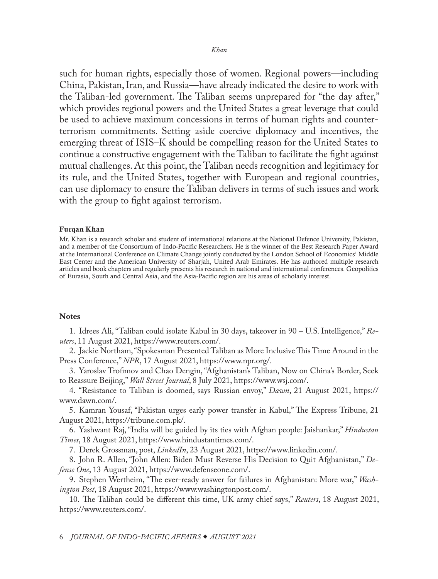<span id="page-5-0"></span>such for human rights, especially those of women. Regional powers—including China, Pakistan, Iran, and Russia—have already indicated the desire to work with the Taliban-led government. The Taliban seems unprepared for "the day after," which provides regional powers and the United States a great leverage that could be used to achieve maximum concessions in terms of human rights and counterterrorism commitments. Setting aside coercive diplomacy and incentives, the emerging threat of ISIS–K should be compelling reason for the United States to continue a constructive engagement with the Taliban to facilitate the fight against mutual challenges. At this point, the Taliban needs recognition and legitimacy for its rule, and the United States, together with European and regional countries, can use diplomacy to ensure the Taliban delivers in terms of such issues and work with the group to fight against terrorism.

#### Furqan Khan

[Mr. Khan is a research scholar and student of international relations at the National Defence University, Pakistan,](#page-0-0)  and a member of the Consortium of Indo-Pacific Researchers. He is the winner of the Best Research Paper Award at the International Conference on Climate Change jointly conducted by the London School of Economics' Middle East Center and the American University of Sharjah, United Arab Emirates. He has authored multiple research articles and book chapters and regularly presents his research in national and international conferences. Geopolitics of Eurasia, South and Central Asia, and the Asia-Pacific region are his areas of scholarly interest.

#### **Notes**

[1](#page-0-0). Idrees Ali, "Taliban could isolate Kabul in 30 days, takeover in 90 – U.S. Intelligence," *Reuters*, 11 August 2021, [https://www.reuters.com/](https://www.reuters.com/world/asia-pacific/taliban-could-isolate-kabul-30-days-takeover-90-us-intelligence-2021-08-11/).

[2](#page-1-0). Jackie Northam, "Spokesman Presented Taliban as More Inclusive This Time Around in the Press Conference," *NPR*, 17 August 2021, [https://www.npr.org/](https://www.npr.org/2021/08/17/1028542841/spokesman-presented-taliban-as-more-inclusive-this-time-around-in-press-conferen).

[3](#page-1-0). Yaroslav Trofimov and Chao Dengin, "Afghanistan's Taliban, Now on China's Border, Seek to Reassure Beijing," *Wall Street Journal*, 8 July 2021, [https://www.wsj.com/.](https://www.wsj.com/articles/afghanistans-taliban-now-on-chinas-border-seek-to-reassure-beijing-11625750130)

[4](#page-1-0). "Resistance to Taliban is doomed, says Russian envoy," *Dawn*, 21 August 2021, [https://](https://www.dawn.com/news/1641794) [www.dawn.com/](https://www.dawn.com/news/1641794).

[5](#page-1-0). Kamran Yousaf, "Pakistan urges early power transfer in Kabul," The Express Tribune, 21 August 2021, [https://tribune.com.pk/.](https://tribune.com.pk/story/2316453/pakistan-urges-early-power-transfer-in-kabul)

[6](#page-1-0). Yashwant Raj, "India will be guided by its ties with Afghan people: Jaishankar," *Hindustan Times*, 18 August 2021, [https://www.hindustantimes.com/](https://www.hindustantimes.com/world-news/india-will-be-guided-by-its-ties-with-afghan-people-jaishankar-101629308860262.html).

[7](#page-2-0). Derek Grossman, post, *LinkedIn*, 23 August 2021, [https://www.linkedin.com/](https://www.linkedin.com/posts/derek-grossman-08209788_harris-heads-to-singapore-vietnam-in-shadow-activity-6834712553810227200-kP6Y).

[8](#page-2-0). John R. Allen, "John Allen: Biden Must Reverse His Decision to Quit Afghanistan," *Defense One*, 13 August 2021, [https://www.defenseone.com/.](https://www.defenseone.com/ideas/2021/08/john-allen-biden-must-reverse-his-decision-quit-afghanistan/184512/)

[9](#page-3-0). Stephen Wertheim, "The ever-ready answer for failures in Afghanistan: More war," *Washington Post*, 18 August 2021, [https://www.washingtonpost.com/](https://www.washingtonpost.com/outlook/2021/08/18/afghanistan-withdrawal-accept-defeat/).

[10](#page-3-0). The Taliban could be different this time, UK army chief says," *Reuters*, 18 August 2021, [https://www.reuters.com/.](https://www.reuters.com/world/uk/taliban-could-be-different-this-time-britains-army-chief-says-2021-08-18/)